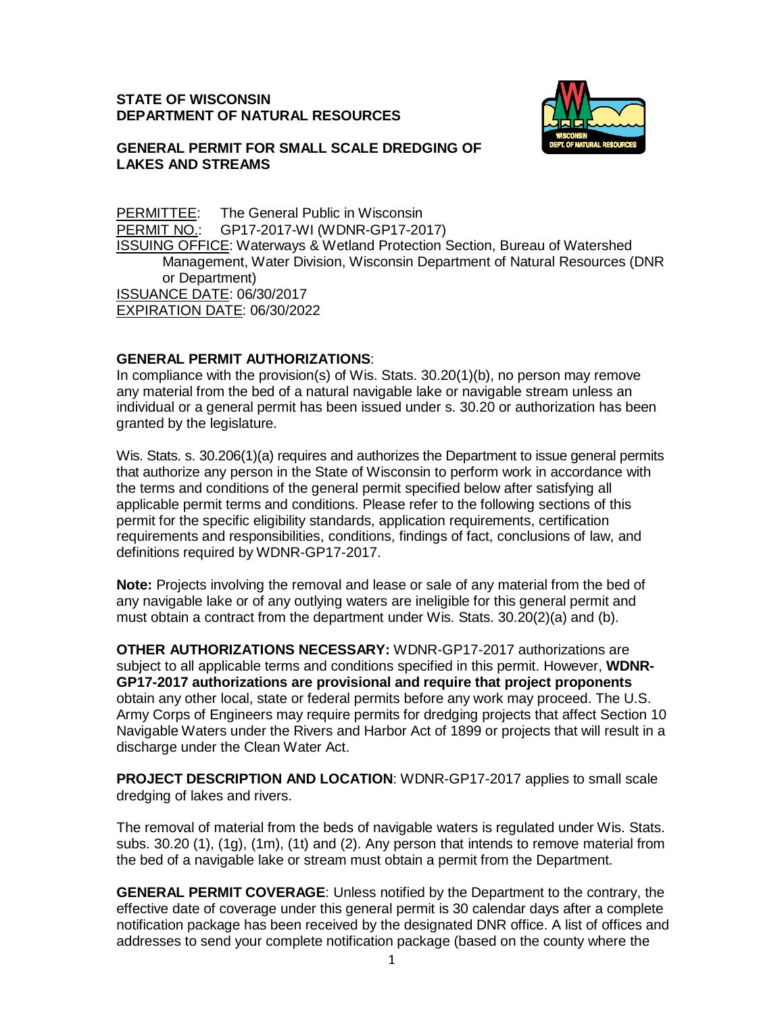#### **STATE OF WISCONSIN DEPARTMENT OF NATURAL RESOURCES**



#### **GENERAL PERMIT FOR SMALL SCALE DREDGING OF LAKES AND STREAMS**

**PERMITTEE:** The General Public in Wisconsin<br>PERMIT NO.: GP17-2017-WI (WDNR-GP17-20 GP17-2017-WI (WDNR-GP17-2017) ISSUING OFFICE: Waterways & Wetland Protection Section, Bureau of Watershed Management, Water Division, Wisconsin Department of Natural Resources (DNR or Department) ISSUANCE DATE: 06/30/2017 EXPIRATION DATE: 06/30/2022

### **GENERAL PERMIT AUTHORIZATIONS**:

In compliance with the provision(s) of Wis. Stats. 30.20(1)(b), no person may remove any material from the bed of a natural navigable lake or navigable stream unless an individual or a general permit has been issued under s. 30.20 or authorization has been granted by the legislature.

Wis. Stats. s. 30.206(1)(a) requires and authorizes the Department to issue general permits that authorize any person in the State of Wisconsin to perform work in accordance with the terms and conditions of the general permit specified below after satisfying all applicable permit terms and conditions. Please refer to the following sections of this permit for the specific eligibility standards, application requirements, certification requirements and responsibilities, conditions, findings of fact, conclusions of law, and definitions required by WDNR-GP17-2017.

**Note:** Projects involving the removal and lease or sale of any material from the bed of any navigable lake or of any outlying waters are ineligible for this general permit and must obtain a contract from the department under Wis. Stats. 30.20(2)(a) and (b).

**OTHER AUTHORIZATIONS NECESSARY:** WDNR-GP17-2017 authorizations are subject to all applicable terms and conditions specified in this permit. However, **WDNR-GP17-2017 authorizations are provisional and require that project proponents** obtain any other local, state or federal permits before any work may proceed. The U.S. Army Corps of Engineers may require permits for dredging projects that affect Section 10 Navigable Waters under the Rivers and Harbor Act of 1899 or projects that will result in a discharge under the Clean Water Act.

**PROJECT DESCRIPTION AND LOCATION**: WDNR-GP17-2017 applies to small scale dredging of lakes and rivers.

The removal of material from the beds of navigable waters is regulated under Wis. Stats. subs. 30.20 (1), (1g), (1m), (1t) and (2). Any person that intends to remove material from the bed of a navigable lake or stream must obtain a permit from the Department.

**GENERAL PERMIT COVERAGE**: Unless notified by the Department to the contrary, the effective date of coverage under this general permit is 30 calendar days after a complete notification package has been received by the designated DNR office. A list of offices and addresses to send your complete notification package (based on the county where the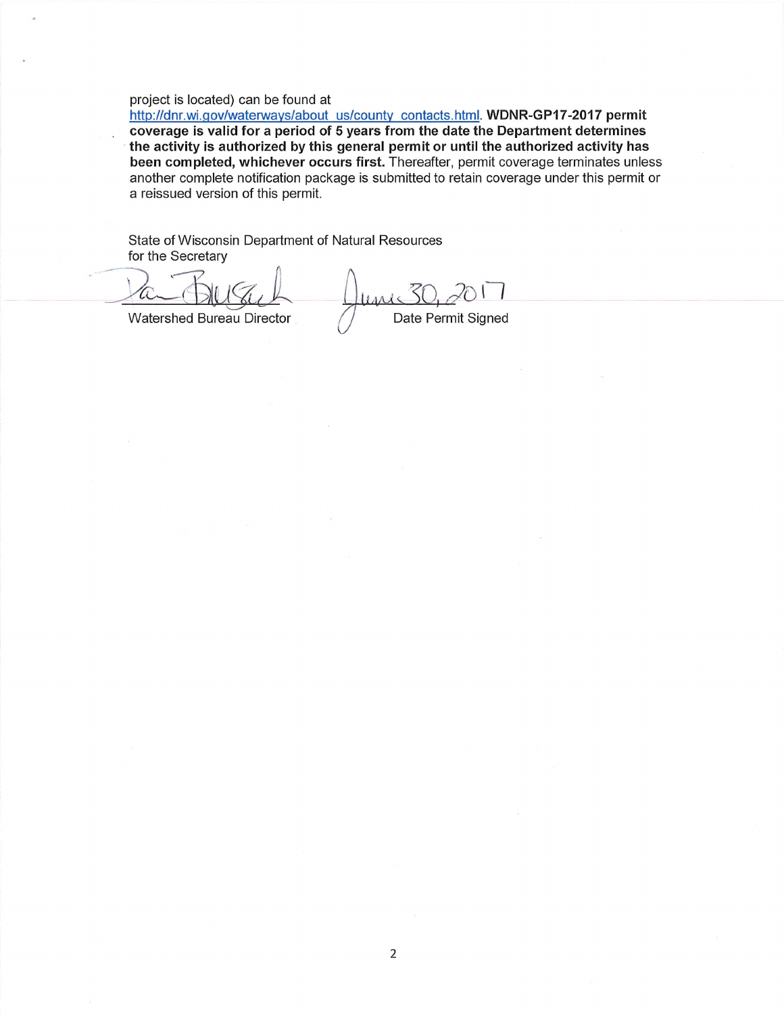#### project is located) can be found at

http://dnr.wi.gov/waterways/about\_us/county\_contacts.html. WDNR-GP17-2017 permit coverage is valid for a period of 5 years from the date the Department determines the activity is authorized by this general permit or until the authorized activity has been completed, whichever occurs first. Thereafter, permit coverage terminates unless another complete notification package is submitted to retain coverage under this permit or a reissued version of this permit.

State of Wisconsin Department of Natural Resources for the Secretary

Watershed Bureau Director Date Permit Signed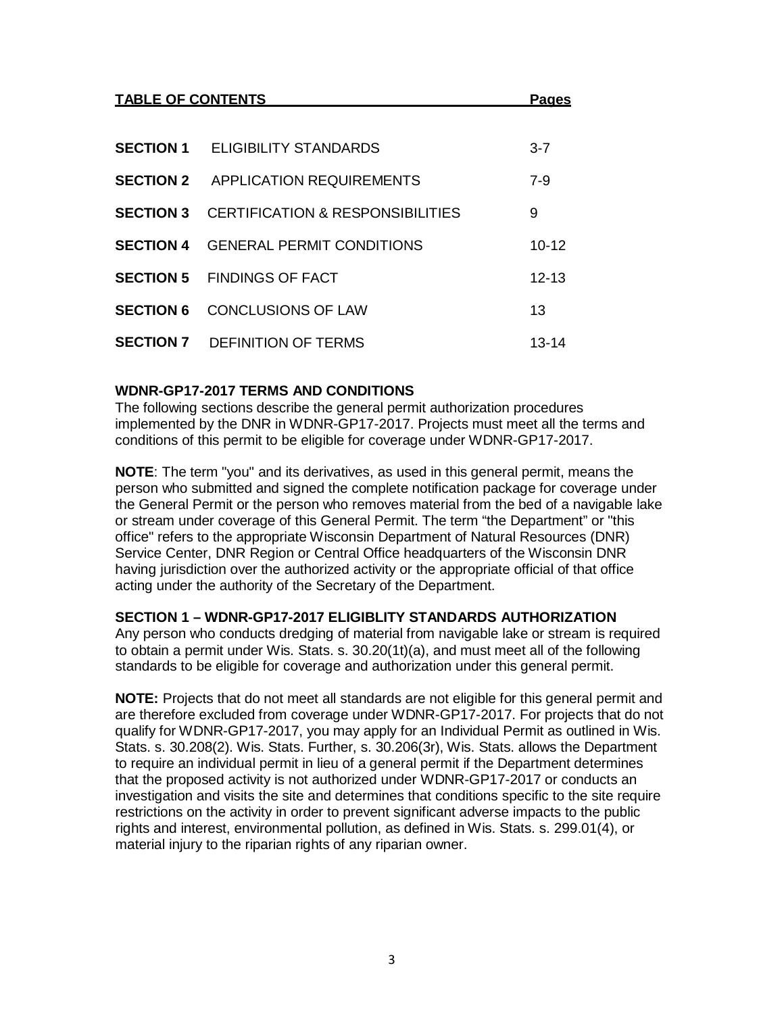| <b>TABLE OF CONTENTS</b> |                                             | <b>Pages</b> |
|--------------------------|---------------------------------------------|--------------|
| <b>SECTION 1</b>         | ELIGIBILITY STANDARDS                       | $3 - 7$      |
|                          | <b>SECTION 2 APPLICATION REQUIREMENTS</b>   | $7 - 9$      |
| <b>SECTION 3</b>         | <b>CERTIFICATION &amp; RESPONSIBILITIES</b> | 9            |
| <b>SECTION 4</b>         | <b>GENERAL PERMIT CONDITIONS</b>            | $10 - 12$    |
|                          | <b>SECTION 5 FINDINGS OF FACT</b>           | $12 - 13$    |
| <b>SECTION 6</b>         | <b>CONCLUSIONS OF LAW</b>                   | 13           |
|                          | <b>SECTION 7 DEFINITION OF TERMS</b>        | 13-14        |

### **WDNR-GP17-2017 TERMS AND CONDITIONS**

The following sections describe the general permit authorization procedures implemented by the DNR in WDNR-GP17-2017. Projects must meet all the terms and conditions of this permit to be eligible for coverage under WDNR-GP17-2017.

**NOTE**: The term "you" and its derivatives, as used in this general permit, means the person who submitted and signed the complete notification package for coverage under the General Permit or the person who removes material from the bed of a navigable lake or stream under coverage of this General Permit. The term "the Department" or "this office" refers to the appropriate Wisconsin Department of Natural Resources (DNR) Service Center, DNR Region or Central Office headquarters of the Wisconsin DNR having jurisdiction over the authorized activity or the appropriate official of that office acting under the authority of the Secretary of the Department.

### **SECTION 1 – WDNR-GP17-2017 ELIGIBLITY STANDARDS AUTHORIZATION**

Any person who conducts dredging of material from navigable lake or stream is required to obtain a permit under Wis. Stats. s. 30.20(1t)(a), and must meet all of the following standards to be eligible for coverage and authorization under this general permit.

**NOTE:** Projects that do not meet all standards are not eligible for this general permit and are therefore excluded from coverage under WDNR-GP17-2017. For projects that do not qualify for WDNR-GP17-2017, you may apply for an Individual Permit as outlined in Wis. Stats. s. 30.208(2). Wis. Stats. Further, s. 30.206(3r), Wis. Stats. allows the Department to require an individual permit in lieu of a general permit if the Department determines that the proposed activity is not authorized under WDNR-GP17-2017 or conducts an investigation and visits the site and determines that conditions specific to the site require restrictions on the activity in order to prevent significant adverse impacts to the public rights and interest, environmental pollution, as defined in Wis. Stats. s. 299.01(4), or material injury to the riparian rights of any riparian owner.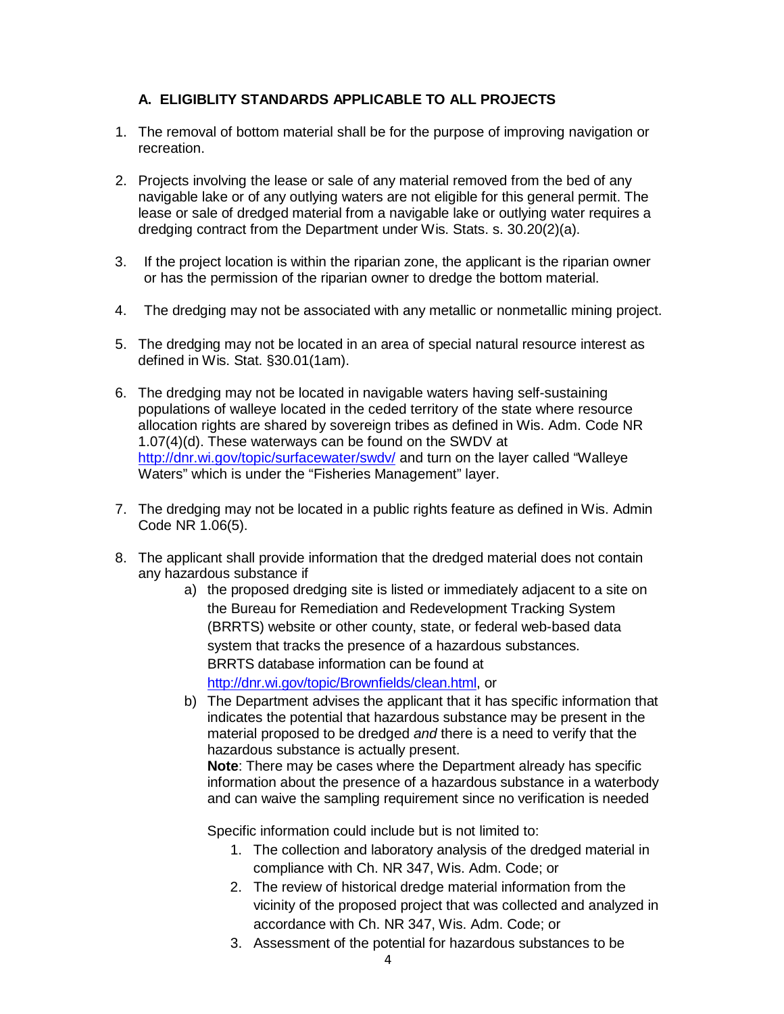# **A. ELIGIBLITY STANDARDS APPLICABLE TO ALL PROJECTS**

- 1. The removal of bottom material shall be for the purpose of improving navigation or recreation.
- 2. Projects involving the lease or sale of any material removed from the bed of any navigable lake or of any outlying waters are not eligible for this general permit. The lease or sale of dredged material from a navigable lake or outlying water requires a dredging contract from the Department under Wis. Stats. s. 30.20(2)(a).
- 3. If the project location is within the riparian zone, the applicant is the riparian owner or has the permission of the riparian owner to dredge the bottom material.
- 4. The dredging may not be associated with any metallic or nonmetallic mining project.
- 5. The dredging may not be located in an area of special natural resource interest as defined in Wis. Stat. §30.01(1am).
- 6. The dredging may not be located in navigable waters having self-sustaining populations of walleye located in the ceded territory of the state where resource allocation rights are shared by sovereign tribes as defined in Wis. Adm. Code NR 1.07(4)(d). These waterways can be found on the SWDV at <http://dnr.wi.gov/topic/surfacewater/swdv/> and turn on the layer called "Walleye Waters" which is under the "Fisheries Management" layer.
- 7. The dredging may not be located in a public rights feature as defined in Wis. Admin Code NR 1.06(5).
- 8. The applicant shall provide information that the dredged material does not contain any hazardous substance if
	- a) the proposed dredging site is listed or immediately adjacent to a site on the Bureau for Remediation and Redevelopment Tracking System (BRRTS) website or other county, state, or federal web-based data system that tracks the presence of a hazardous substances. BRRTS database information can be found at [http://dnr.wi.gov/topic/Brownfields/clean.html,](http://dnr.wi.gov/topic/Brownfields/clean.html) or
	- b) The Department advises the applicant that it has specific information that indicates the potential that hazardous substance may be present in the material proposed to be dredged *and* there is a need to verify that the hazardous substance is actually present.

**Note**: There may be cases where the Department already has specific information about the presence of a hazardous substance in a waterbody and can waive the sampling requirement since no verification is needed

Specific information could include but is not limited to:

- 1. The collection and laboratory analysis of the dredged material in compliance with Ch. NR 347, Wis. Adm. Code; or
- 2. The review of historical dredge material information from the vicinity of the proposed project that was collected and analyzed in accordance with Ch. NR 347, Wis. Adm. Code; or
- 3. Assessment of the potential for hazardous substances to be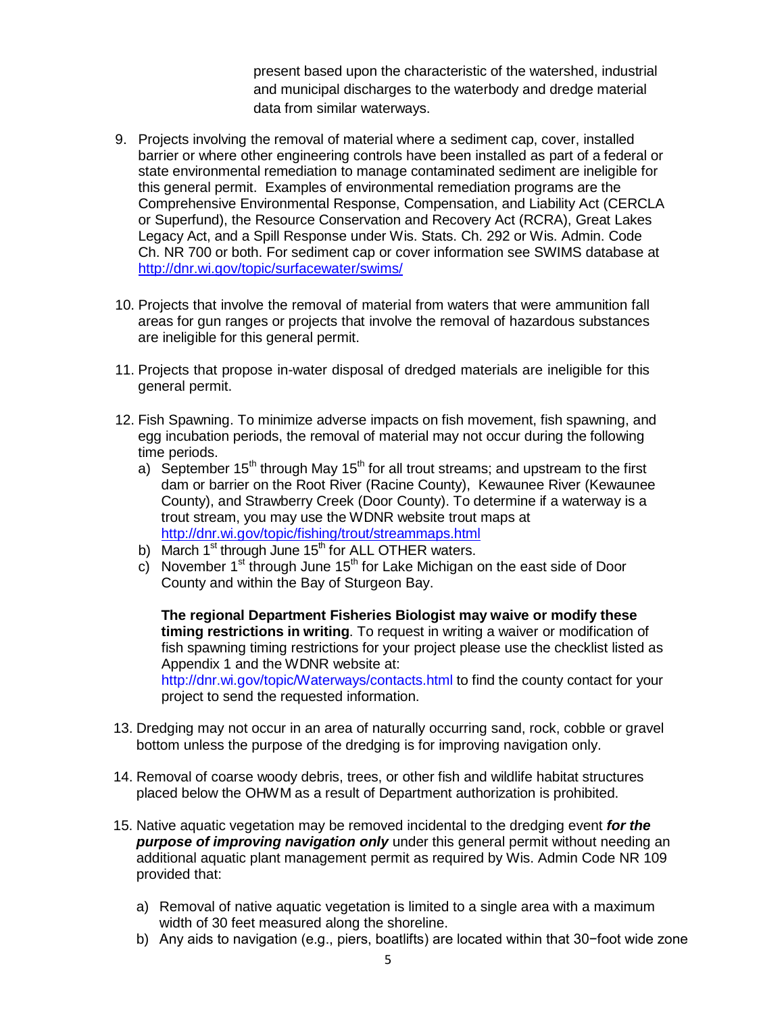present based upon the characteristic of the watershed, industrial and municipal discharges to the waterbody and dredge material data from similar waterways.

- 9. Projects involving the removal of material where a sediment cap, cover, installed barrier or where other engineering controls have been installed as part of a federal or state environmental remediation to manage contaminated sediment are ineligible for this general permit. Examples of environmental remediation programs are the Comprehensive Environmental Response, Compensation, and Liability Act (CERCLA or Superfund), the Resource Conservation and Recovery Act (RCRA), Great Lakes Legacy Act, and a Spill Response under Wis. Stats. Ch. 292 or Wis. Admin. Code Ch. NR 700 or both. For sediment cap or cover information see SWIMS database at <http://dnr.wi.gov/topic/surfacewater/swims/>
- 10. Projects that involve the removal of material from waters that were ammunition fall areas for gun ranges or projects that involve the removal of hazardous substances are ineligible for this general permit.
- 11. Projects that propose in-water disposal of dredged materials are ineligible for this general permit.
- 12. Fish Spawning. To minimize adverse impacts on fish movement, fish spawning, and egg incubation periods, the removal of material may not occur during the following time periods.
	- a) September 15<sup>th</sup> through May 15<sup>th</sup> for all trout streams; and upstream to the first dam or barrier on the Root River (Racine County), Kewaunee River (Kewaunee County), and Strawberry Creek (Door County). To determine if a waterway is a trout stream, you may use the WDNR website trout maps at <http://dnr.wi.gov/topic/fishing/trout/streammaps.html>
	- b) March  $1^{st}$  through June  $15^{th}$  for ALL OTHER waters.
	- c) November 1<sup>st</sup> through June 15<sup>th</sup> for Lake Michigan on the east side of Door County and within the Bay of Sturgeon Bay.

**The regional Department Fisheries Biologist may waive or modify these timing restrictions in writing**. To request in writing a waiver or modification of fish spawning timing restrictions for your project please use the checklist listed as Appendix 1 and the WDNR website at: <http://dnr.wi.gov/topic/Waterways/contacts.html> to find the county contact for your project to send the requested information.

- 13. Dredging may not occur in an area of naturally occurring sand, rock, cobble or gravel bottom unless the purpose of the dredging is for improving navigation only.
- 14. Removal of coarse woody debris, trees, or other fish and wildlife habitat structures placed below the OHWM as a result of Department authorization is prohibited.
- 15. Native aquatic vegetation may be removed incidental to the dredging event *for the purpose of improving navigation only* under this general permit without needing an additional aquatic plant management permit as required by Wis. Admin Code NR 109 provided that:
	- a) Removal of native aquatic vegetation is limited to a single area with a maximum width of 30 feet measured along the shoreline.
	- b) Any aids to navigation (e.g., piers, boatlifts) are located within that 30−foot wide zone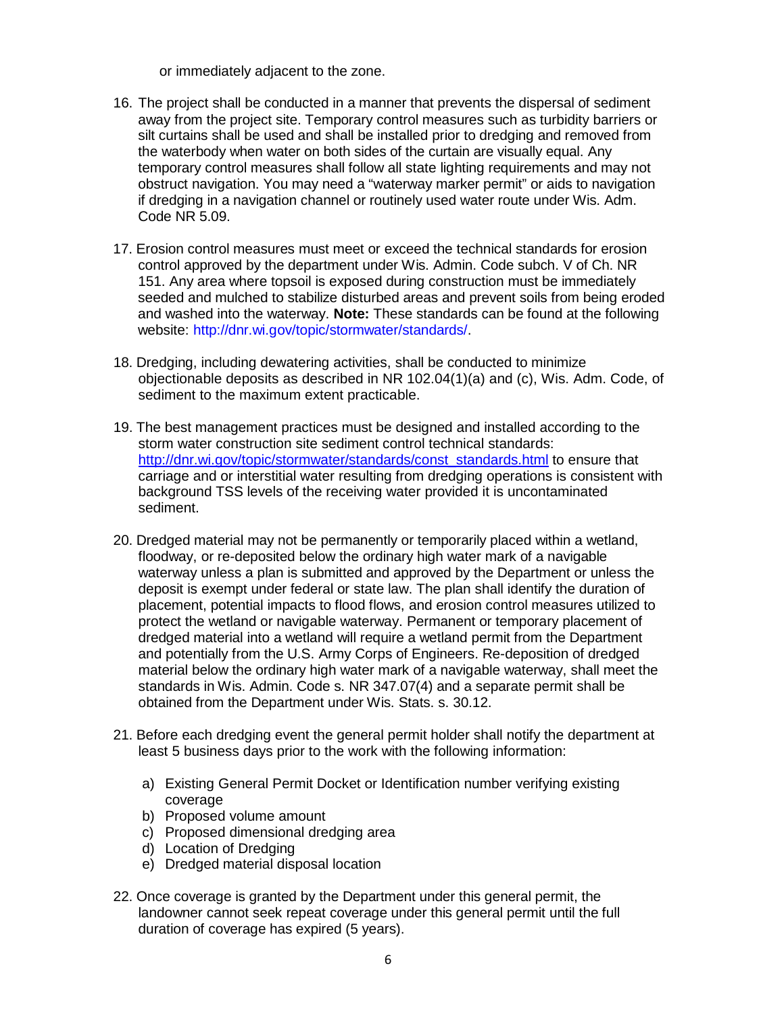or immediately adjacent to the zone.

- 16. The project shall be conducted in a manner that prevents the dispersal of sediment away from the project site. Temporary control measures such as turbidity barriers or silt curtains shall be used and shall be installed prior to dredging and removed from the waterbody when water on both sides of the curtain are visually equal. Any temporary control measures shall follow all state lighting requirements and may not obstruct navigation. You may need a "waterway marker permit" or aids to navigation if dredging in a navigation channel or routinely used water route under Wis. Adm. Code NR 5.09.
- 17. Erosion control measures must meet or exceed the technical standards for erosion control approved by the department under Wis. Admin. Code subch. V of Ch. NR 151. Any area where topsoil is exposed during construction must be immediately seeded and mulched to stabilize disturbed areas and prevent soils from being eroded and washed into the waterway. **Note:** These standards can be found at the following website: [http://dnr.wi.gov/topic/stormwater/standards/.](http://dnr.wi.gov/topic/stormwater/standards/)
- 18. Dredging, including dewatering activities, shall be conducted to minimize objectionable deposits as described in NR 102.04(1)(a) and (c), Wis. Adm. Code, of sediment to the maximum extent practicable.
- 19. The best management practices must be designed and installed according to the storm water construction site sediment control technical standards: [http://dnr.wi.gov/topic/stormwater/standards/const\\_standards.html](http://dnr.wi.gov/topic/stormwater/standards/const_standards.html) to ensure that carriage and or interstitial water resulting from dredging operations is consistent with background TSS levels of the receiving water provided it is uncontaminated sediment.
- 20. Dredged material may not be permanently or temporarily placed within a wetland, floodway, or re-deposited below the ordinary high water mark of a navigable waterway unless a plan is submitted and approved by the Department or unless the deposit is exempt under federal or state law. The plan shall identify the duration of placement, potential impacts to flood flows, and erosion control measures utilized to protect the wetland or navigable waterway. Permanent or temporary placement of dredged material into a wetland will require a wetland permit from the Department and potentially from the U.S. Army Corps of Engineers. Re-deposition of dredged material below the ordinary high water mark of a navigable waterway, shall meet the standards in Wis. Admin. Code s. NR 347.07(4) and a separate permit shall be obtained from the Department under Wis. Stats. s. 30.12.
- 21. Before each dredging event the general permit holder shall notify the department at least 5 business days prior to the work with the following information:
	- a) Existing General Permit Docket or Identification number verifying existing coverage
	- b) Proposed volume amount
	- c) Proposed dimensional dredging area
	- d) Location of Dredging
	- e) Dredged material disposal location
- 22. Once coverage is granted by the Department under this general permit, the landowner cannot seek repeat coverage under this general permit until the full duration of coverage has expired (5 years).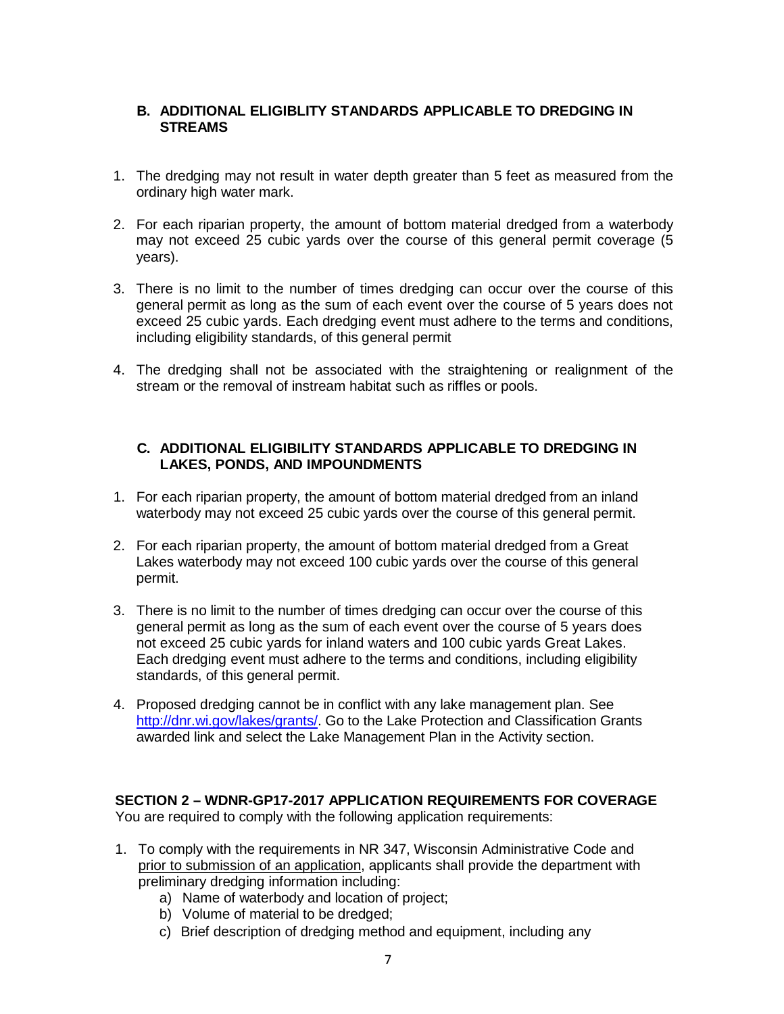## **B. ADDITIONAL ELIGIBLITY STANDARDS APPLICABLE TO DREDGING IN STREAMS**

- 1. The dredging may not result in water depth greater than 5 feet as measured from the ordinary high water mark.
- 2. For each riparian property, the amount of bottom material dredged from a waterbody may not exceed 25 cubic yards over the course of this general permit coverage (5 years).
- 3. There is no limit to the number of times dredging can occur over the course of this general permit as long as the sum of each event over the course of 5 years does not exceed 25 cubic yards. Each dredging event must adhere to the terms and conditions, including eligibility standards, of this general permit
- 4. The dredging shall not be associated with the straightening or realignment of the stream or the removal of instream habitat such as riffles or pools.

#### **C. ADDITIONAL ELIGIBILITY STANDARDS APPLICABLE TO DREDGING IN LAKES, PONDS, AND IMPOUNDMENTS**

- 1. For each riparian property, the amount of bottom material dredged from an inland waterbody may not exceed 25 cubic yards over the course of this general permit.
- 2. For each riparian property, the amount of bottom material dredged from a Great Lakes waterbody may not exceed 100 cubic yards over the course of this general permit.
- 3. There is no limit to the number of times dredging can occur over the course of this general permit as long as the sum of each event over the course of 5 years does not exceed 25 cubic yards for inland waters and 100 cubic yards Great Lakes. Each dredging event must adhere to the terms and conditions, including eligibility standards, of this general permit.
- 4. Proposed dredging cannot be in conflict with any lake management plan. See [http://dnr.wi.gov/lakes/grants/.](http://dnr.wi.gov/lakes/grants/) Go to the Lake Protection and Classification Grants awarded link and select the Lake Management Plan in the Activity section.

**SECTION 2 – WDNR-GP17-2017 APPLICATION REQUIREMENTS FOR COVERAGE** You are required to comply with the following application requirements:

- 1. To comply with the requirements in NR 347, Wisconsin Administrative Code and prior to submission of an application, applicants shall provide the department with preliminary dredging information including:
	- a) Name of waterbody and location of project;
	- b) Volume of material to be dredged;
	- c) Brief description of dredging method and equipment, including any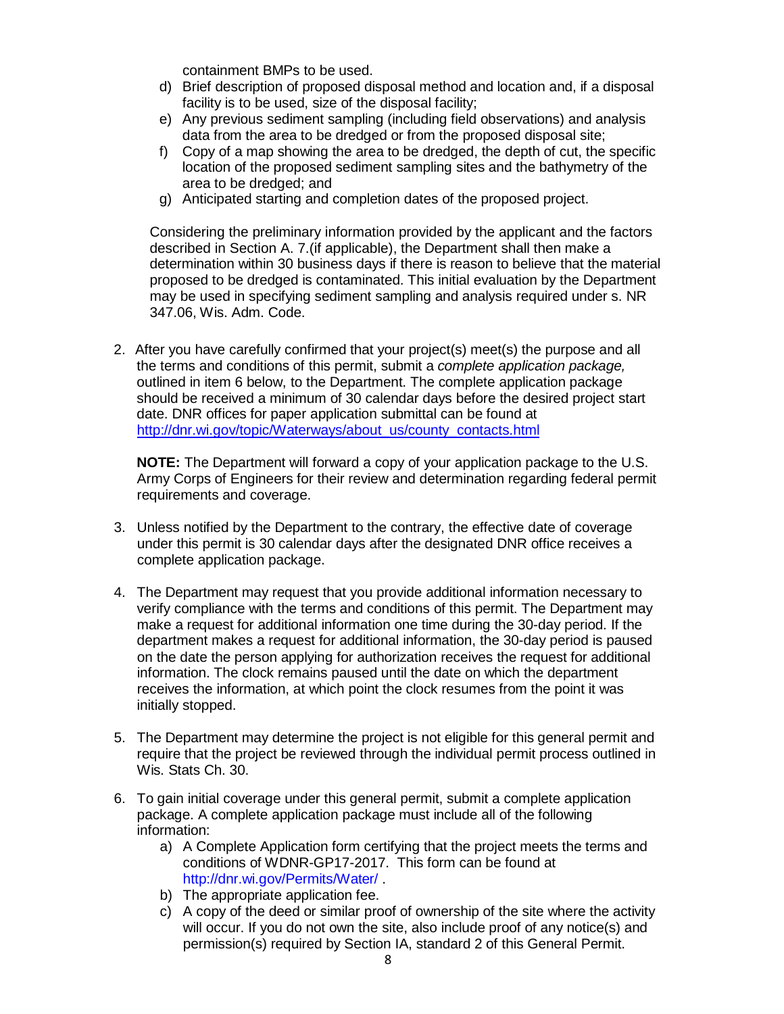containment BMPs to be used.

- d) Brief description of proposed disposal method and location and, if a disposal facility is to be used, size of the disposal facility;
- e) Any previous sediment sampling (including field observations) and analysis data from the area to be dredged or from the proposed disposal site;
- f) Copy of a map showing the area to be dredged, the depth of cut, the specific location of the proposed sediment sampling sites and the bathymetry of the area to be dredged; and
- g) Anticipated starting and completion dates of the proposed project.

Considering the preliminary information provided by the applicant and the factors described in Section A. 7.(if applicable), the Department shall then make a determination within 30 business days if there is reason to believe that the material proposed to be dredged is contaminated. This initial evaluation by the Department may be used in specifying sediment sampling and analysis required under s. NR 347.06, Wis. Adm. Code.

2. After you have carefully confirmed that your project(s) meet(s) the purpose and all the terms and conditions of this permit, submit a *complete application package,*  outlined in item 6 below, to the Department. The complete application package should be received a minimum of 30 calendar days before the desired project start date. DNR offices for paper application submittal can be found at [http://dnr.wi.gov/topic/Waterways/about\\_us/county\\_contacts.html](http://dnr.wi.gov/topic/Waterways/about_us/county_contacts.html)

**NOTE:** The Department will forward a copy of your application package to the U.S. Army Corps of Engineers for their review and determination regarding federal permit requirements and coverage.

- 3. Unless notified by the Department to the contrary, the effective date of coverage under this permit is 30 calendar days after the designated DNR office receives a complete application package.
- 4. The Department may request that you provide additional information necessary to verify compliance with the terms and conditions of this permit. The Department may make a request for additional information one time during the 30-day period. If the department makes a request for additional information, the 30-day period is paused on the date the person applying for authorization receives the request for additional information. The clock remains paused until the date on which the department receives the information, at which point the clock resumes from the point it was initially stopped.
- 5. The Department may determine the project is not eligible for this general permit and require that the project be reviewed through the individual permit process outlined in Wis. Stats Ch. 30.
- 6. To gain initial coverage under this general permit, submit a complete application package. A complete application package must include all of the following information:
	- a) A Complete Application form certifying that the project meets the terms and conditions of WDNR-GP17-2017. This form can be found at [http://dnr.wi.gov/Permits/Water/ .](http://dnr.wi.gov/Permits/Water/)
	- b) The appropriate application fee.
	- c) A copy of the deed or similar proof of ownership of the site where the activity will occur. If you do not own the site, also include proof of any notice(s) and permission(s) required by Section IA, standard 2 of this General Permit.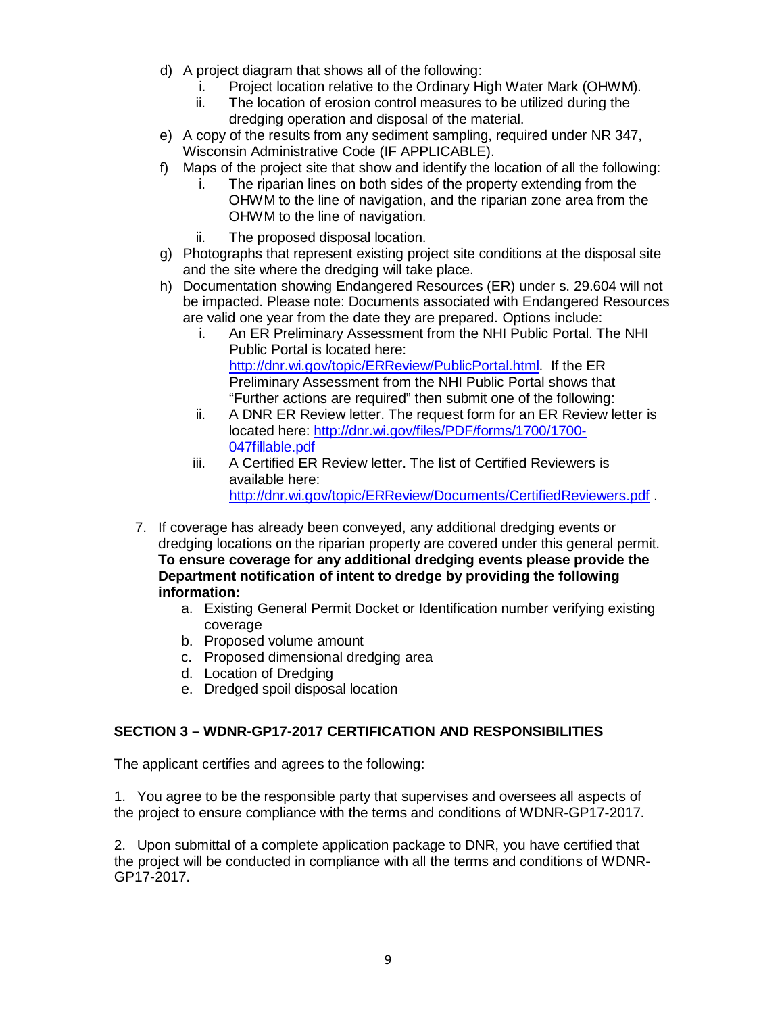- d) A project diagram that shows all of the following:
	- i. Project location relative to the Ordinary High Water Mark (OHWM).
	- ii. The location of erosion control measures to be utilized during the dredging operation and disposal of the material.
- e) A copy of the results from any sediment sampling, required under NR 347, Wisconsin Administrative Code (IF APPLICABLE).
- f) Maps of the project site that show and identify the location of all the following:
	- i. The riparian lines on both sides of the property extending from the OHWM to the line of navigation, and the riparian zone area from the OHWM to the line of navigation.
	- ii. The proposed disposal location.
- g) Photographs that represent existing project site conditions at the disposal site and the site where the dredging will take place.
- h) Documentation showing Endangered Resources (ER) under s. 29.604 will not be impacted. Please note: Documents associated with Endangered Resources are valid one year from the date they are prepared. Options include:
	- i. An ER Preliminary Assessment from the NHI Public Portal. The NHI Public Portal is located here: [http://dnr.wi.gov/topic/ERReview/PublicPortal.html.](http://dnr.wi.gov/topic/ERReview/PublicPortal.html) If the ER Preliminary Assessment from the NHI Public Portal shows that "Further actions are required" then submit one of the following:
	- ii. A DNR ER Review letter. The request form for an ER Review letter is located here: [http://dnr.wi.gov/files/PDF/forms/1700/1700-](http://dnr.wi.gov/files/PDF/forms/1700/1700-047fillable.pdf) [047fillable.pdf](http://dnr.wi.gov/files/PDF/forms/1700/1700-047fillable.pdf)
	- iii. A Certified ER Review letter. The list of Certified Reviewers is available here: <http://dnr.wi.gov/topic/ERReview/Documents/CertifiedReviewers.pdf> .
- 7. If coverage has already been conveyed, any additional dredging events or dredging locations on the riparian property are covered under this general permit. **To ensure coverage for any additional dredging events please provide the Department notification of intent to dredge by providing the following information:**
	- a. Existing General Permit Docket or Identification number verifying existing coverage
	- b. Proposed volume amount
	- c. Proposed dimensional dredging area
	- d. Location of Dredging
	- e. Dredged spoil disposal location

# **SECTION 3 – WDNR-GP17-2017 CERTIFICATION AND RESPONSIBILITIES**

The applicant certifies and agrees to the following:

1. You agree to be the responsible party that supervises and oversees all aspects of the project to ensure compliance with the terms and conditions of WDNR-GP17-2017.

2. Upon submittal of a complete application package to DNR, you have certified that the project will be conducted in compliance with all the terms and conditions of WDNR-GP17-2017.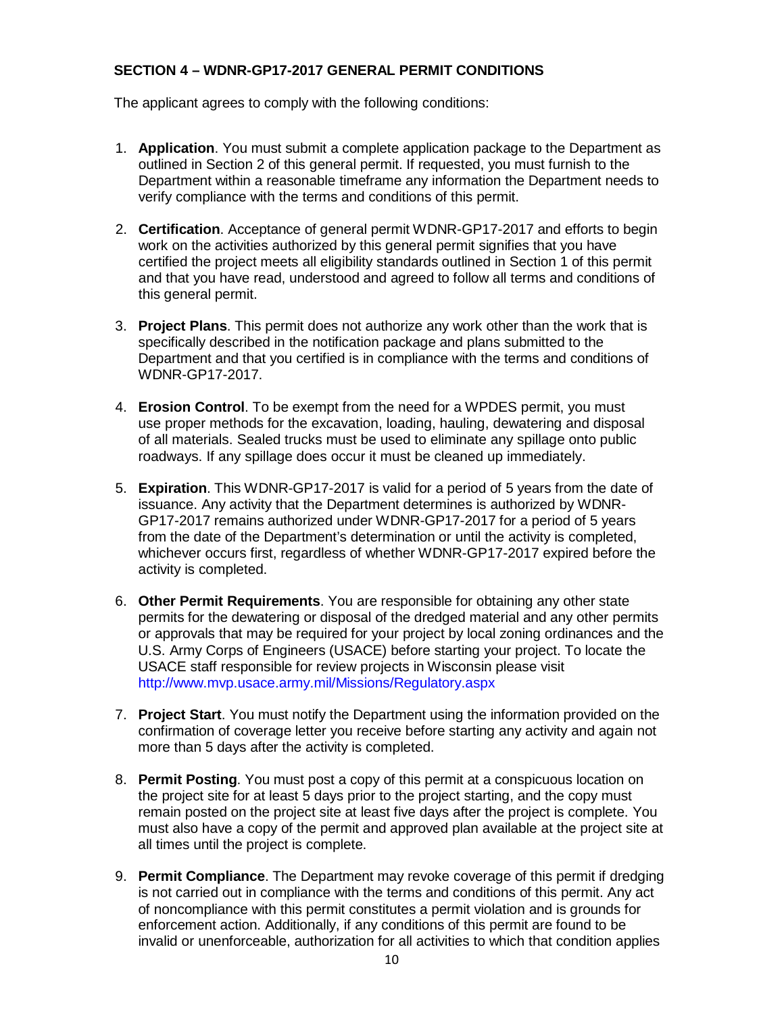## **SECTION 4 – WDNR-GP17-2017 GENERAL PERMIT CONDITIONS**

The applicant agrees to comply with the following conditions:

- 1. **Application**. You must submit a complete application package to the Department as outlined in Section 2 of this general permit. If requested, you must furnish to the Department within a reasonable timeframe any information the Department needs to verify compliance with the terms and conditions of this permit.
- 2. **Certification**. Acceptance of general permit WDNR-GP17-2017 and efforts to begin work on the activities authorized by this general permit signifies that you have certified the project meets all eligibility standards outlined in Section 1 of this permit and that you have read, understood and agreed to follow all terms and conditions of this general permit.
- 3. **Project Plans**. This permit does not authorize any work other than the work that is specifically described in the notification package and plans submitted to the Department and that you certified is in compliance with the terms and conditions of WDNR-GP17-2017.
- 4. **Erosion Control**. To be exempt from the need for a WPDES permit, you must use proper methods for the excavation, loading, hauling, dewatering and disposal of all materials. Sealed trucks must be used to eliminate any spillage onto public roadways. If any spillage does occur it must be cleaned up immediately.
- 5. **Expiration**. This WDNR-GP17-2017 is valid for a period of 5 years from the date of issuance. Any activity that the Department determines is authorized by WDNR-GP17-2017 remains authorized under WDNR-GP17-2017 for a period of 5 years from the date of the Department's determination or until the activity is completed, whichever occurs first, regardless of whether WDNR-GP17-2017 expired before the activity is completed.
- 6. **Other Permit Requirements**. You are responsible for obtaining any other state permits for the dewatering or disposal of the dredged material and any other permits or approvals that may be required for your project by local zoning ordinances and the U.S. Army Corps of Engineers (USACE) before starting your project. To locate the USACE staff responsible for review projects in Wisconsin please visit <http://www.mvp.usace.army.mil/Missions/Regulatory.aspx>
- 7. **Project Start**. You must notify the Department using the information provided on the confirmation of coverage letter you receive before starting any activity and again not more than 5 days after the activity is completed.
- 8. **Permit Posting**. You must post a copy of this permit at a conspicuous location on the project site for at least 5 days prior to the project starting, and the copy must remain posted on the project site at least five days after the project is complete. You must also have a copy of the permit and approved plan available at the project site at all times until the project is complete.
- 9. **Permit Compliance**. The Department may revoke coverage of this permit if dredging is not carried out in compliance with the terms and conditions of this permit. Any act of noncompliance with this permit constitutes a permit violation and is grounds for enforcement action. Additionally, if any conditions of this permit are found to be invalid or unenforceable, authorization for all activities to which that condition applies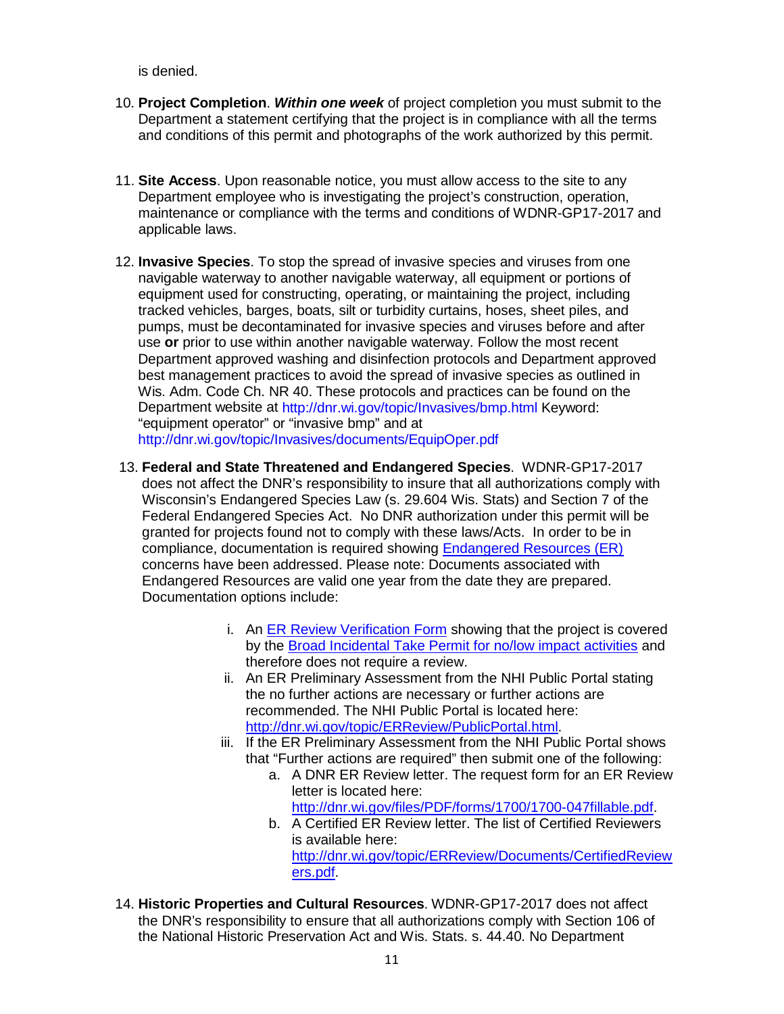is denied.

- 10. **Project Completion**. *Within one week* of project completion you must submit to the Department a statement certifying that the project is in compliance with all the terms and conditions of this permit and photographs of the work authorized by this permit.
- 11. **Site Access**. Upon reasonable notice, you must allow access to the site to any Department employee who is investigating the project's construction, operation, maintenance or compliance with the terms and conditions of WDNR-GP17-2017 and applicable laws.
- 12. **Invasive Species**. To stop the spread of invasive species and viruses from one navigable waterway to another navigable waterway, all equipment or portions of equipment used for constructing, operating, or maintaining the project, including tracked vehicles, barges, boats, silt or turbidity curtains, hoses, sheet piles, and pumps, must be decontaminated for invasive species and viruses before and after use **or** prior to use within another navigable waterway. Follow the most recent Department approved washing and disinfection protocols and Department approved best management practices to avoid the spread of invasive species as outlined in Wis. Adm. Code Ch. NR 40. These protocols and practices can be found on the Department website at<http://dnr.wi.gov/topic/Invasives/bmp.html> Keyword: "equipment operator" or "invasive bmp" and at <http://dnr.wi.gov/topic/Invasives/documents/EquipOper.pdf>
- 13. **Federal and State Threatened and Endangered Species**. WDNR-GP17-2017 does not affect the DNR's responsibility to insure that all authorizations comply with Wisconsin's Endangered Species Law (s. 29.604 Wis. Stats) and Section 7 of the Federal Endangered Species Act. No DNR authorization under this permit will be granted for projects found not to comply with these laws/Acts. In order to be in compliance, documentation is required showing **Endangered Resources (ER)** concerns have been addressed. Please note: Documents associated with Endangered Resources are valid one year from the date they are prepared. Documentation options include:
	- i. An [ER Review Verification Form](http://dnr.wi.gov/files/PDF/forms/1700/1700-079.pdf) showing that the project is covered by the [Broad Incidental Take Permit for no/low impact activities](http://dnr.wi.gov/topic/ERReview/ITNoLowImpact.html) and therefore does not require a review.
	- ii. An ER Preliminary Assessment from the NHI Public Portal stating the no further actions are necessary or further actions are recommended. The NHI Public Portal is located here: [http://dnr.wi.gov/topic/ERReview/PublicPortal.html.](http://dnr.wi.gov/topic/ERReview/PublicPortal.html)
	- iii. If the ER Preliminary Assessment from the NHI Public Portal shows that "Further actions are required" then submit one of the following:
		- a. A DNR ER Review letter. The request form for an ER Review letter is located here:

[http://dnr.wi.gov/files/PDF/forms/1700/1700-047fillable.pdf.](http://dnr.wi.gov/files/PDF/forms/1700/1700-047fillable.pdf)

- b. A Certified ER Review letter. The list of Certified Reviewers is available here: [http://dnr.wi.gov/topic/ERReview/Documents/CertifiedReview](http://dnr.wi.gov/topic/ERReview/Documents/CertifiedReviewers.pdf) [ers.pdf.](http://dnr.wi.gov/topic/ERReview/Documents/CertifiedReviewers.pdf)
- 14. **Historic Properties and Cultural Resources**. WDNR-GP17-2017 does not affect the DNR's responsibility to ensure that all authorizations comply with Section 106 of the National Historic Preservation Act and Wis. Stats. s. 44.40. No Department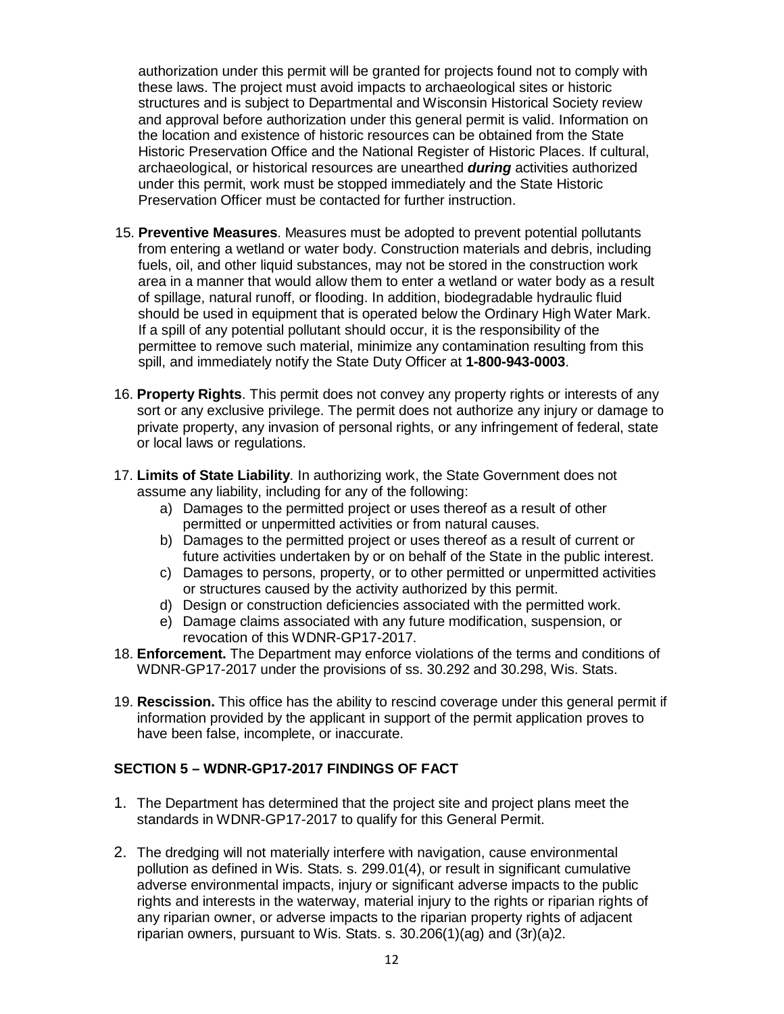authorization under this permit will be granted for projects found not to comply with these laws. The project must avoid impacts to archaeological sites or historic structures and is subject to Departmental and Wisconsin Historical Society review and approval before authorization under this general permit is valid. Information on the location and existence of historic resources can be obtained from the State Historic Preservation Office and the National Register of Historic Places. If cultural, archaeological, or historical resources are unearthed *during* activities authorized under this permit, work must be stopped immediately and the State Historic Preservation Officer must be contacted for further instruction.

- 15. **Preventive Measures**. Measures must be adopted to prevent potential pollutants from entering a wetland or water body. Construction materials and debris, including fuels, oil, and other liquid substances, may not be stored in the construction work area in a manner that would allow them to enter a wetland or water body as a result of spillage, natural runoff, or flooding. In addition, biodegradable hydraulic fluid should be used in equipment that is operated below the Ordinary High Water Mark. If a spill of any potential pollutant should occur, it is the responsibility of the permittee to remove such material, minimize any contamination resulting from this spill, and immediately notify the State Duty Officer at **1-800-943-0003**.
- 16. **Property Rights**. This permit does not convey any property rights or interests of any sort or any exclusive privilege. The permit does not authorize any injury or damage to private property, any invasion of personal rights, or any infringement of federal, state or local laws or regulations.
- 17. **Limits of State Liability**. In authorizing work, the State Government does not assume any liability, including for any of the following:
	- a) Damages to the permitted project or uses thereof as a result of other permitted or unpermitted activities or from natural causes.
	- b) Damages to the permitted project or uses thereof as a result of current or future activities undertaken by or on behalf of the State in the public interest.
	- c) Damages to persons, property, or to other permitted or unpermitted activities or structures caused by the activity authorized by this permit.
	- d) Design or construction deficiencies associated with the permitted work.
	- e) Damage claims associated with any future modification, suspension, or revocation of this WDNR-GP17-2017.
- 18. **Enforcement.** The Department may enforce violations of the terms and conditions of WDNR-GP17-2017 under the provisions of ss. 30.292 and 30.298, Wis. Stats.
- 19. **Rescission.** This office has the ability to rescind coverage under this general permit if information provided by the applicant in support of the permit application proves to have been false, incomplete, or inaccurate.

### **SECTION 5 – WDNR-GP17-2017 FINDINGS OF FACT**

- 1. The Department has determined that the project site and project plans meet the standards in WDNR-GP17-2017 to qualify for this General Permit.
- 2. The dredging will not materially interfere with navigation, cause environmental pollution as defined in Wis. Stats. s. 299.01(4), or result in significant cumulative adverse environmental impacts, injury or significant adverse impacts to the public rights and interests in the waterway, material injury to the rights or riparian rights of any riparian owner, or adverse impacts to the riparian property rights of adjacent riparian owners, pursuant to Wis. Stats. s. 30.206(1)(ag) and (3r)(a)2.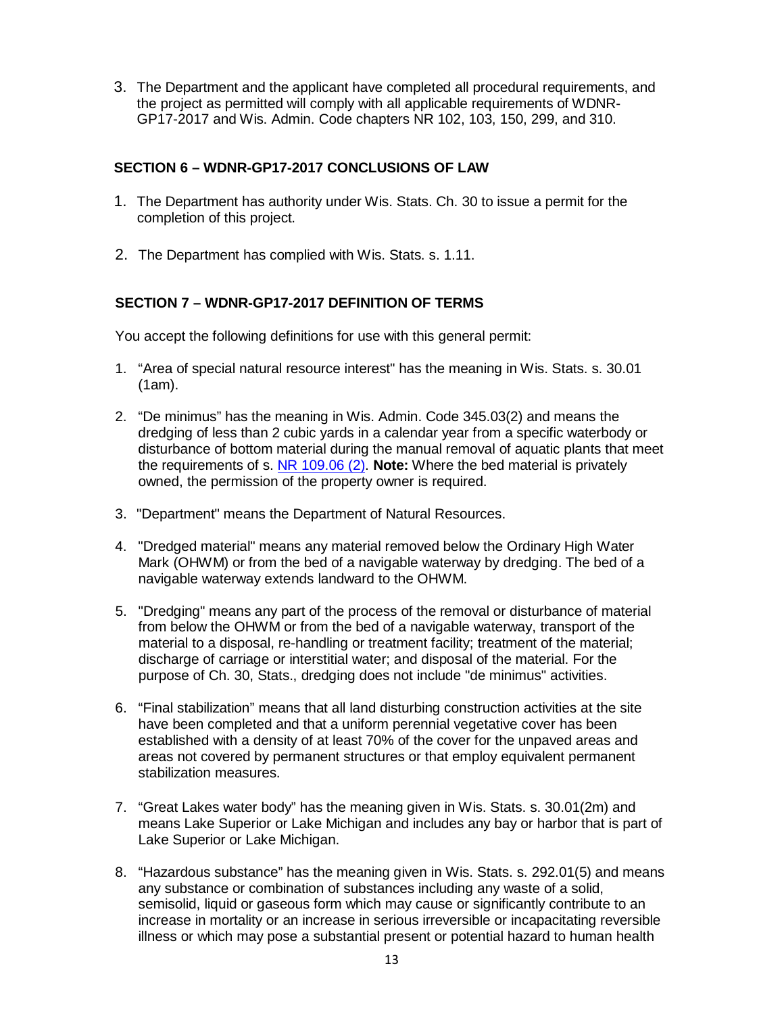3. The Department and the applicant have completed all procedural requirements, and the project as permitted will comply with all applicable requirements of WDNR-GP17-2017 and Wis. Admin. Code chapters NR 102, 103, 150, 299, and 310.

## **SECTION 6 – WDNR-GP17-2017 CONCLUSIONS OF LAW**

- 1. The Department has authority under Wis. Stats. Ch. 30 to issue a permit for the completion of this project.
- 2. The Department has complied with Wis. Stats. s. 1.11.

## **SECTION 7 – WDNR-GP17-2017 DEFINITION OF TERMS**

You accept the following definitions for use with this general permit:

- 1. "Area of special natural resource interest" has the meaning in Wis. Stats. s. 30.01 (1am).
- 2. "De minimus" has the meaning in Wis. Admin. Code 345.03(2) and means the dredging of less than 2 cubic yards in a calendar year from a specific waterbody or disturbance of bottom material during the manual removal of aquatic plants that meet the requirements of s. [NR 109.06](https://docs.legis.wisconsin.gov/document/administrativecode/NR%20109.06(2)) (2). **Note:** Where the bed material is privately owned, the permission of the property owner is required.
- 3. "Department" means the Department of Natural Resources.
- 4. "Dredged material" means any material removed below the Ordinary High Water Mark (OHWM) or from the bed of a navigable waterway by dredging. The bed of a navigable waterway extends landward to the OHWM.
- 5. "Dredging" means any part of the process of the removal or disturbance of material from below the OHWM or from the bed of a navigable waterway, transport of the material to a disposal, re-handling or treatment facility; treatment of the material; discharge of carriage or interstitial water; and disposal of the material. For the purpose of Ch. 30, Stats., dredging does not include "de minimus" activities.
- 6. "Final stabilization" means that all land disturbing construction activities at the site have been completed and that a uniform perennial vegetative cover has been established with a density of at least 70% of the cover for the unpaved areas and areas not covered by permanent structures or that employ equivalent permanent stabilization measures.
- 7. "Great Lakes water body" has the meaning given in Wis. Stats. s. 30.01(2m) and means Lake Superior or Lake Michigan and includes any bay or harbor that is part of Lake Superior or Lake Michigan.
- 8. "Hazardous substance" has the meaning given in Wis. Stats. s. 292.01(5) and means any substance or combination of substances including any waste of a solid, semisolid, liquid or gaseous form which may cause or significantly contribute to an increase in mortality or an increase in serious irreversible or incapacitating reversible illness or which may pose a substantial present or potential hazard to human health